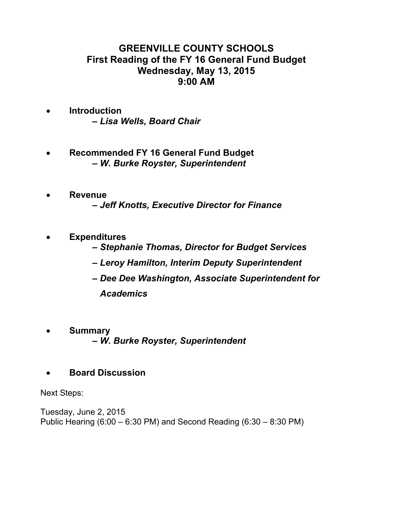# **GREENVILLE COUNTY SCHOOLS First Reading of the FY 16 General Fund Budget Wednesday, May 13, 2015 9:00 AM**

- **Introduction –** *Lisa Wells, Board Chair*
- **Recommended FY 16 General Fund Budget –** *W. Burke Royster, Superintendent*
- **Revenue –** *Jeff Knotts, Executive Director for Finance*
- **Expenditures** 
	- *Stephanie Thomas, Director for Budget Services*
	- *Leroy Hamilton, Interim Deputy Superintendent*
	- *Dee Dee Washington, Associate Superintendent for Academics*
- **Summary –** *W. Burke Royster, Superintendent*
- **Board Discussion**

Next Steps:

Tuesday, June 2, 2015 Public Hearing (6:00 – 6:30 PM) and Second Reading (6:30 – 8:30 PM)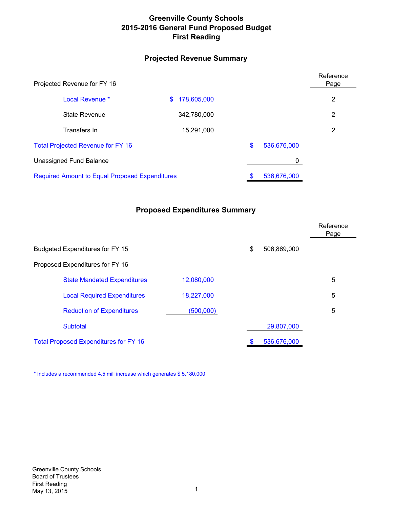# **Greenville County Schools 2015-2016 General Fund Proposed Budget First Reading**

# **Projected Revenue Summary**

| Projected Revenue for FY 16                           |                   |    |             |                |  |
|-------------------------------------------------------|-------------------|----|-------------|----------------|--|
| Local Revenue *                                       | 178,605,000<br>\$ |    |             | $\overline{2}$ |  |
| State Revenue                                         | 342,780,000       |    |             | 2              |  |
| Transfers In                                          | 15,291,000        |    |             | $\overline{2}$ |  |
| <b>Total Projected Revenue for FY 16</b>              |                   | \$ | 536,676,000 |                |  |
| Unassigned Fund Balance                               |                   |    | 0           |                |  |
| <b>Required Amount to Equal Proposed Expenditures</b> |                   |    | 536,676,000 |                |  |

# **Proposed Expenditures Summary**

|                                              |                   |             | Reference<br>Page |
|----------------------------------------------|-------------------|-------------|-------------------|
| Budgeted Expenditures for FY 15              | \$<br>506,869,000 |             |                   |
| Proposed Expenditures for FY 16              |                   |             |                   |
| <b>State Mandated Expenditures</b>           | 12,080,000        |             | 5                 |
| <b>Local Required Expenditures</b>           | 18,227,000        |             | 5                 |
| <b>Reduction of Expenditures</b>             | (500,000)         |             | 5                 |
| Subtotal                                     |                   | 29,807,000  |                   |
| <b>Total Proposed Expenditures for FY 16</b> |                   | 536,676,000 |                   |

\* Includes a recommended 4.5 mill increase which generates \$ 5,180,000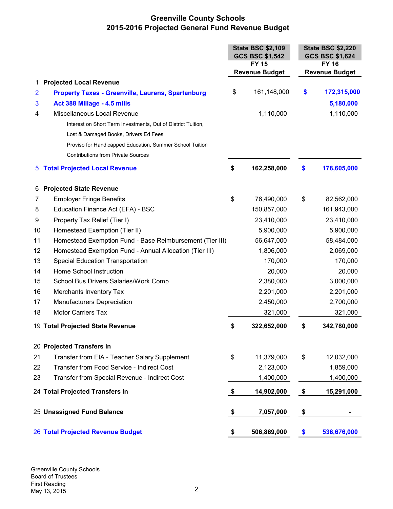# **Greenville County Schools 2015-2016 Projected General Fund Revenue Budget**

|                |                                                              | <b>State BSC \$2,109</b><br><b>GCS BSC \$1,542</b><br><b>FY 15</b> |                       | <b>State BSC \$2,220</b><br>GCS BSC \$1,624<br><b>FY 16</b> |                       |
|----------------|--------------------------------------------------------------|--------------------------------------------------------------------|-----------------------|-------------------------------------------------------------|-----------------------|
|                |                                                              |                                                                    | <b>Revenue Budget</b> |                                                             | <b>Revenue Budget</b> |
| 1              | <b>Projected Local Revenue</b>                               |                                                                    |                       |                                                             |                       |
| $\overline{2}$ | <b>Property Taxes - Greenville, Laurens, Spartanburg</b>     | \$                                                                 | 161,148,000           | \$                                                          | 172,315,000           |
| 3              | Act 388 Millage - 4.5 mills                                  |                                                                    |                       |                                                             | 5,180,000             |
| 4              | Miscellaneous Local Revenue                                  |                                                                    | 1,110,000             |                                                             | 1,110,000             |
|                | Interest on Short Term Investments, Out of District Tuition, |                                                                    |                       |                                                             |                       |
|                | Lost & Damaged Books, Drivers Ed Fees                        |                                                                    |                       |                                                             |                       |
|                | Proviso for Handicapped Education, Summer School Tuition     |                                                                    |                       |                                                             |                       |
|                | <b>Contributions from Private Sources</b>                    |                                                                    |                       |                                                             |                       |
| 5              | <b>Total Projected Local Revenue</b>                         | \$                                                                 | 162,258,000           | \$                                                          | 178,605,000           |
| 6              | <b>Projected State Revenue</b>                               |                                                                    |                       |                                                             |                       |
| 7              | <b>Employer Fringe Benefits</b>                              | \$                                                                 | 76,490,000            | \$                                                          | 82,562,000            |
| 8              | Education Finance Act (EFA) - BSC                            |                                                                    | 150,857,000           |                                                             | 161,943,000           |
| 9              | Property Tax Relief (Tier I)                                 |                                                                    | 23,410,000            |                                                             | 23,410,000            |
| 10             | Homestead Exemption (Tier II)                                |                                                                    | 5,900,000             |                                                             | 5,900,000             |
| 11             | Homestead Exemption Fund - Base Reimbursement (Tier III)     |                                                                    | 56,647,000            |                                                             | 58,484,000            |
| 12             | Homestead Exemption Fund - Annual Allocation (Tier III)      |                                                                    | 1,806,000             |                                                             | 2,069,000             |
| 13             | <b>Special Education Transportation</b>                      |                                                                    | 170,000               |                                                             | 170,000               |
| 14             | Home School Instruction                                      |                                                                    | 20,000                |                                                             | 20,000                |
| 15             | School Bus Drivers Salaries/Work Comp                        |                                                                    | 2,380,000             |                                                             | 3,000,000             |
| 16             | Merchants Inventory Tax                                      |                                                                    | 2,201,000             |                                                             | 2,201,000             |
| 17             | Manufacturers Depreciation                                   |                                                                    | 2,450,000             |                                                             | 2,700,000             |
| 18             | <b>Motor Carriers Tax</b>                                    |                                                                    | 321,000               |                                                             | 321,000               |
|                | 19 Total Projected State Revenue                             | \$                                                                 | 322,652,000           | \$                                                          | 342,780,000           |
|                | 20 Projected Transfers In                                    |                                                                    |                       |                                                             |                       |
| 21             | Transfer from EIA - Teacher Salary Supplement                | \$                                                                 | 11,379,000            | \$                                                          | 12,032,000            |
| 22             | Transfer from Food Service - Indirect Cost                   |                                                                    | 2,123,000             |                                                             | 1,859,000             |
| 23             | Transfer from Special Revenue - Indirect Cost                |                                                                    | 1,400,000             |                                                             | 1,400,000             |
|                | 24 Total Projected Transfers In                              | \$                                                                 | 14,902,000            | \$                                                          | 15,291,000            |
|                | 25 Unassigned Fund Balance                                   | \$                                                                 | 7,057,000             | \$                                                          |                       |
|                | <b>26 Total Projected Revenue Budget</b>                     | \$                                                                 | 506,869,000           | \$                                                          | 536,676,000           |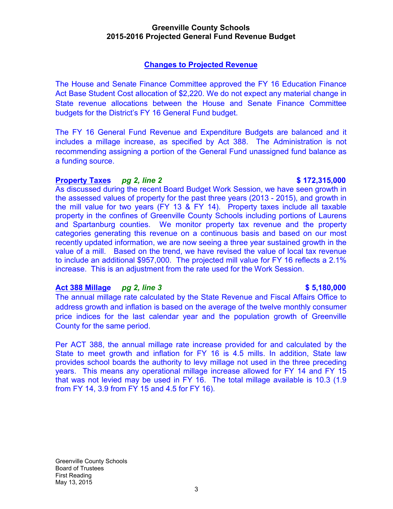# **Greenville County Schools 2015-2016 Projected General Fund Revenue Budget**

# **Changes to Projected Revenue**

The House and Senate Finance Committee approved the FY 16 Education Finance Act Base Student Cost allocation of \$2,220. We do not expect any material change in State revenue allocations between the House and Senate Finance Committee budgets for the District's FY 16 General Fund budget.

The FY 16 General Fund Revenue and Expenditure Budgets are balanced and it includes a millage increase, as specified by Act 388. The Administration is not recommending assigning a portion of the General Fund unassigned fund balance as a funding source.

# **Property Taxes** *pg 2, line 2* **\$ 172,315,000**

As discussed during the recent Board Budget Work Session, we have seen growth in the assessed values of property for the past three years (2013 - 2015), and growth in the mill value for two years (FY 13 & FY 14). Property taxes include all taxable property in the confines of Greenville County Schools including portions of Laurens and Spartanburg counties. We monitor property tax revenue and the property categories generating this revenue on a continuous basis and based on our most recently updated information, we are now seeing a three year sustained growth in the value of a mill. Based on the trend, we have revised the value of local tax revenue to include an additional \$957,000. The projected mill value for FY 16 reflects a 2.1% increase. This is an adjustment from the rate used for the Work Session.

# **Act 388 Millage** *pg 2, line 3* **\$ 5,180,000**

The annual millage rate calculated by the State Revenue and Fiscal Affairs Office to address growth and inflation is based on the average of the twelve monthly consumer price indices for the last calendar year and the population growth of Greenville County for the same period.

Per ACT 388, the annual millage rate increase provided for and calculated by the State to meet growth and inflation for FY 16 is 4.5 mills. In addition, State law provides school boards the authority to levy millage not used in the three preceding years. This means any operational millage increase allowed for FY 14 and FY 15 that was not levied may be used in FY 16. The total millage available is 10.3 (1.9 from FY 14, 3.9 from FY 15 and 4.5 for FY 16).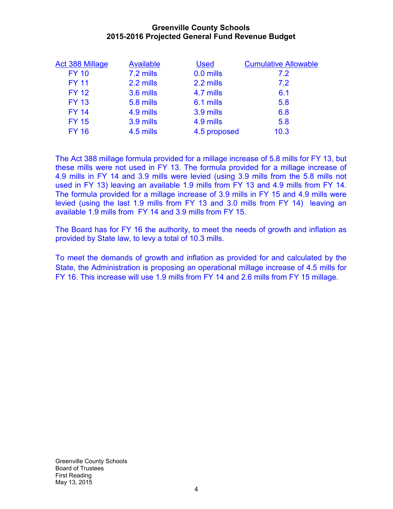# **Greenville County Schools 2015-2016 Projected General Fund Revenue Budget**

| Act 388 Millage | <b>Available</b> | <b>Used</b>  | <b>Cumulative Allowable</b> |
|-----------------|------------------|--------------|-----------------------------|
| <b>FY 10</b>    | 7.2 mills        | 0.0 mills    | <b>72</b>                   |
| <b>FY 11</b>    | 2.2 mills        | 2.2 mills    | 7.2                         |
| <b>FY 12</b>    | 3.6 mills        | 4.7 mills    | 6.1                         |
| <b>FY 13</b>    | 5.8 mills        | 6.1 mills    | 5.8                         |
| <b>FY 14</b>    | 4.9 mills        | 3.9 mills    | 6.8                         |
| <b>FY 15</b>    | 3.9 mills        | 4.9 mills    | 5.8                         |
| <b>FY 16</b>    | 4.5 mills        | 4.5 proposed | 10.3                        |
|                 |                  |              |                             |

The Act 388 millage formula provided for a millage increase of 5.8 mills for FY 13, but these mills were not used in FY 13. The formula provided for a millage increase of 4.9 mills in FY 14 and 3.9 mills were levied (using 3.9 mills from the 5.8 mills not used in FY 13) leaving an available 1.9 mills from FY 13 and 4.9 mills from FY 14. The formula provided for a millage increase of 3.9 mills in FY 15 and 4.9 mills were levied (using the last 1.9 mills from FY 13 and 3.0 mills from FY 14) leaving an available 1.9 mills from FY 14 and 3.9 mills from FY 15.

The Board has for FY 16 the authority, to meet the needs of growth and inflation as provided by State law, to levy a total of 10.3 mills.

To meet the demands of growth and inflation as provided for and calculated by the State, the Administration is proposing an operational millage increase of 4.5 mills for FY 16. This increase will use 1.9 mills from FY 14 and 2.6 mills from FY 15 millage.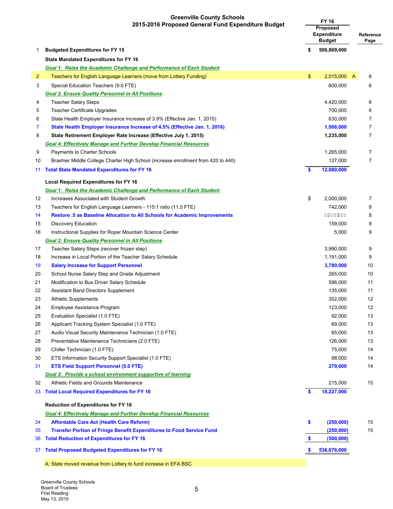# **Greenville County Schools**

|                | <b>OTECHATION COULTLY SUITED</b><br>2015-2016 Proposed General Fund Expenditure Budget | <b>FY 16</b><br>Proposed<br><b>Expenditure</b><br><b>Budget</b> |             | Reference<br>Page |
|----------------|----------------------------------------------------------------------------------------|-----------------------------------------------------------------|-------------|-------------------|
| 1              | <b>Budgeted Expenditures for FY 15</b>                                                 | \$                                                              | 506,869,000 |                   |
|                | <b>State Mandated Expenditures for FY 16</b>                                           |                                                                 |             |                   |
|                | <b>Goal 1: Raise the Academic Challenge and Performance of Each Student</b>            |                                                                 |             |                   |
| $\overline{2}$ | Teachers for English Language Learners (move from Lottery Funding)                     | $\mathfrak{S}$                                                  | 2,015,000 A | 6                 |
| 3              | Special Education Teachers (9.0 FTE)                                                   |                                                                 | 600,000     | 6                 |
|                | <b>Goal 2: Ensure Quality Personnel in All Positions</b>                               |                                                                 |             |                   |
| 4              | <b>Teacher Salary Steps</b>                                                            |                                                                 | 4,420,000   | 6                 |
| 5              | <b>Teacher Certificate Upgrades</b>                                                    |                                                                 | 700,000     | 6                 |
| 6              | State Health Employer Insurance Increase of 3.9% (Effective Jan. 1, 2015)              |                                                                 | 630,000     | 7                 |
| 7              | State Health Employer Insurance Increase of 4.5% (Effective Jan. 1, 2016)              |                                                                 | 1,088,000   | $\overline{7}$    |
| 8              | State Retirement Employer Rate Increase (Effective July 1, 2015)                       |                                                                 | 1,235,000   | $\overline{7}$    |
|                | <b>Goal 4: Effectively Manage and Further Develop Financial Resources</b>              |                                                                 |             |                   |
| 9              | Payments to Charter Schools                                                            |                                                                 | 1,265,000   | $\overline{7}$    |
| 10             | Brashier Middle College Charter High School (increase enrollment from 420 to 440)      |                                                                 | 127,000     | $\overline{7}$    |
| 11             | <b>Total State Mandated Expenditures for FY 16</b>                                     | S                                                               | 12,080,000  |                   |
|                |                                                                                        |                                                                 |             |                   |
|                | <b>Local Required Expenditures for FY 16</b>                                           |                                                                 |             |                   |
|                | Goal 1: Raise the Academic Challenge and Performance of Each Student                   |                                                                 |             |                   |
| 12             | Increases Associated with Student Growth                                               | \$                                                              | 2,000,000   | $\overline{7}$    |
| 13             | Teachers for English Language Learners - 115:1 ratio (11.5 FTE)                        |                                                                 | 742,000     | 8                 |
| 14             | Restore .5 as Baseline Allocation to All Schools for Academic Improvements             |                                                                 | HÊÏ€€€€     | 8                 |
| 15             | <b>Discovery Education</b>                                                             |                                                                 | 159,000     | 9                 |
| 16             | Instructional Supplies for Roper Mountain Science Center                               |                                                                 | 5,000       | 9                 |
|                | <b>Goal 2: Ensure Quality Personnel in All Positions</b>                               |                                                                 |             |                   |
| 17             | Teacher Salary Steps (recover frozen step)                                             |                                                                 | 3,990,000   | 9                 |
| 18             | Increase in Local Portion of the Teacher Salary Schedule                               |                                                                 | 1,191,000   | 9                 |
| 19             | <b>Salary Increase for Support Personnel</b>                                           |                                                                 | 3,780,000   | 10                |
| 20             | School Nurse Salary Step and Grade Adjustment                                          |                                                                 | 265,000     | 10                |
| 21             | Modification to Bus Driver Salary Schedule                                             |                                                                 | 596,000     | 11                |
| 22             | <b>Assistant Band Directors Supplement</b>                                             |                                                                 | 135,000     | 11                |
| 23             | <b>Athletic Supplements</b>                                                            |                                                                 | 352,000     | 12                |
| 24             | Employee Assistance Program                                                            |                                                                 | 123,000     | 12                |
| 25             | Evaluation Specialist (1.0 FTE)                                                        |                                                                 | 92,000      | 13                |
| 26             | Applicant Tracking System Specialist (1.0 FTE)                                         |                                                                 | 69,000      | 13                |
| 27             | Audio Visual Security Maintenance Technician (1.0 FTE)                                 |                                                                 | 65,000      | 13                |
| 28             | Preventative Maintenance Technicians (2.0 FTE)                                         |                                                                 | 126,000     | 13                |
| 29             | Chiller Technician (1.0 FTE)                                                           |                                                                 | 75,000      | 14                |
| 30             | ETS Information Security Support Specialist (1.0 FTE)                                  |                                                                 | 98,000      | 14                |
| 31             | <b>ETS Field Support Personnel (5.0 FTE)</b>                                           |                                                                 | 279,000     | 14                |
|                | Goal 3: Provide a school environment supportive of learning                            |                                                                 |             |                   |
| 32             | Athletic Fields and Grounds Maintenance                                                |                                                                 | 215,000     | 15                |
| 33             | <b>Total Local Required Expenditures for FY 16</b>                                     | $\mathbf{s}$                                                    | 18,227,000  |                   |
|                | <b>Reduction of Expenditures for FY 16</b>                                             |                                                                 |             |                   |
|                | <b>Goal 4: Effectively Manage and Further Develop Financial Resources</b>              |                                                                 |             |                   |
| 34             | <b>Affordable Care Act (Health Care Reform)</b>                                        | \$                                                              | (250,000)   | 15                |
| 35             | <b>Transfer Portion of Fringe Benefit Expenditures to Food Service Fund</b>            |                                                                 | (250,000)   | 15                |
| 36             | <b>Total Reduction of Expenditures for FY 16</b>                                       | \$                                                              | (500, 000)  |                   |
| 37             | <b>Total Proposed Budgeted Expenditures for FY 16</b>                                  | \$                                                              | 536,676,000 |                   |
|                | A: State moved revenue from Lottery to fund increase in EFA BSC                        |                                                                 |             |                   |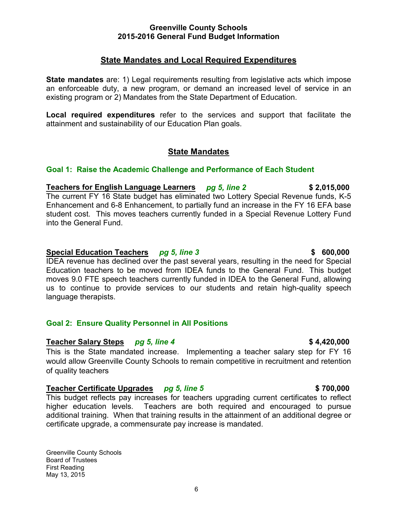# **State Mandates and Local Required Expenditures**

**State mandates** are: 1) Legal requirements resulting from legislative acts which impose an enforceable duty, a new program, or demand an increased level of service in an existing program or 2) Mandates from the State Department of Education.

**Local required expenditures** refer to the services and support that facilitate the attainment and sustainability of our Education Plan goals.

# **State Mandates**

# **Goal 1: Raise the Academic Challenge and Performance of Each Student**

**Teachers for English Language Learners** *pg 5, line 2* **\$ 2,015,000** The current FY 16 State budget has eliminated two Lottery Special Revenue funds, K-5 Enhancement and 6-8 Enhancement, to partially fund an increase in the FY 16 EFA base student cost. This moves teachers currently funded in a Special Revenue Lottery Fund into the General Fund.

# **Special Education Teachers** *pg 5, line 3* **\$ 600,000 \$ 600,000**

IDEA revenue has declined over the past several years, resulting in the need for Special Education teachers to be moved from IDEA funds to the General Fund. This budget moves 9.0 FTE speech teachers currently funded in IDEA to the General Fund, allowing us to continue to provide services to our students and retain high-quality speech language therapists.

# **Goal 2: Ensure Quality Personnel in All Positions**

# **Teacher Salary Steps** *pg 5, line 4* **\$ 4,420,000**

This is the State mandated increase. Implementing a teacher salary step for FY 16 would allow Greenville County Schools to remain competitive in recruitment and retention of quality teachers

# **Teacher Certificate Upgrades** *pg 5, line 5* **\$ 700,000**

This budget reflects pay increases for teachers upgrading current certificates to reflect higher education levels. Teachers are both required and encouraged to pursue additional training. When that training results in the attainment of an additional degree or certificate upgrade, a commensurate pay increase is mandated.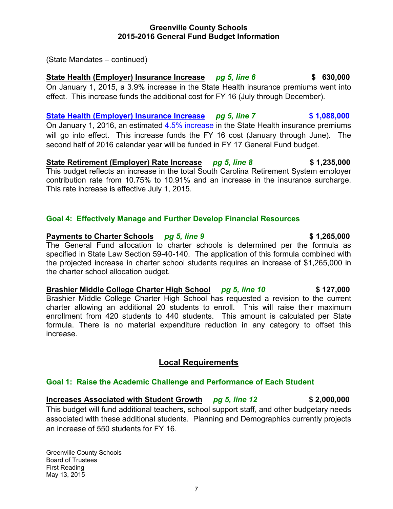(State Mandates – continued)

# **State Health (Employer) Insurance Increase** *pg 5, line 6* **\$ 630,000**

On January 1, 2015, a 3.9% increase in the State Health insurance premiums went into effect. This increase funds the additional cost for FY 16 (July through December).

**State Health (Employer) Insurance Increase** *pg 5, line 7* **\$ 1,088,000** On January 1, 2016, an estimated 4.5% increase in the State Health insurance premiums will go into effect. This increase funds the FY 16 cost (January through June). The

**State Retirement (Employer) Rate Increase** *pg 5, line 8* **\$ 1,235,000** This budget reflects an increase in the total South Carolina Retirement System employer contribution rate from 10.75% to 10.91% and an increase in the insurance surcharge. This rate increase is effective July 1, 2015.

### **Goal 4: Effectively Manage and Further Develop Financial Resources**

### **Payments to Charter Schools** *pg* **5, line 9 \$ 1,265,000**

The General Fund allocation to charter schools is determined per the formula as specified in State Law Section 59-40-140. The application of this formula combined with the projected increase in charter school students requires an increase of \$1,265,000 in the charter school allocation budget.

**Brashier Middle College Charter High School** *pg 5, line 10* **\$ 127,000** Brashier Middle College Charter High School has requested a revision to the current charter allowing an additional 20 students to enroll. This will raise their maximum enrollment from 420 students to 440 students. This amount is calculated per State formula. There is no material expenditure reduction in any category to offset this increase.

# **Local Requirements**

### **Goal 1: Raise the Academic Challenge and Performance of Each Student**

**Increases Associated with Student Growth** *pg 5, line 12* **\$ 2,000,000** This budget will fund additional teachers, school support staff, and other budgetary needs associated with these additional students. Planning and Demographics currently projects an increase of 550 students for FY 16.

Greenville County Schools Board of Trustees First Reading May 13, 2015

second half of 2016 calendar year will be funded in FY 17 General Fund budget.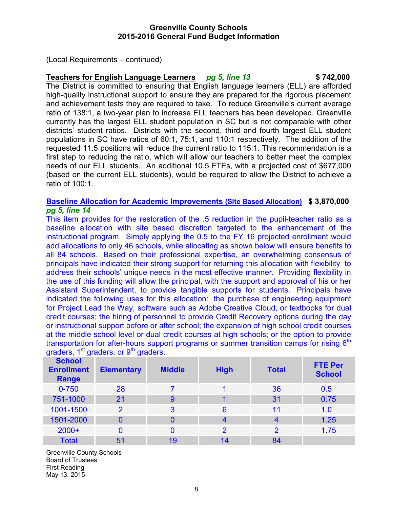(Local Requirements – continued)

# **Teachers for English Language Learners** *pg 5, line 13* **\$ 742,000**

The District is committed to ensuring that English language learners (ELL) are afforded high-quality instructional support to ensure they are prepared for the rigorous placement and achievement tests they are required to take. To reduce Greenville's current average ratio of 138:1, a two-year plan to increase ELL teachers has been developed. Greenville currently has the largest ELL student population in SC but is not comparable with other districts' student ratios. Districts with the second, third and fourth largest ELL student populations in SC have ratios of 60:1, 75:1, and 110:1 respectively. The addition of the requested 11.5 positions will reduce the current ratio to 115:1. This recommendation is a first step to reducing the ratio, which will allow our teachers to better meet the complex needs of our ELL students. An additional 10.5 FTEs, with a projected cost of \$677,000 (based on the current ELL students), would be required to allow the District to achieve a ratio of 100:1.

# **Baseline Allocation for Academic Improvements (Site Based Allocation) \$ 3,870,000** *pg 5, line 14*

This item provides for the restoration of the .5 reduction in the pupil-teacher ratio as a baseline allocation with site based discretion targeted to the enhancement of the instructional program. Simply applying the 0.5 to the FY 16 projected enrollment would add allocations to only 46 schools, while allocating as shown below will ensure benefits to all 84 schools. Based on their professional expertise, an overwhelming consensus of principals have indicated their strong support for returning this allocation with flexibility to address their schools' unique needs in the most effective manner. Providing flexibility in the use of this funding will allow the principal, with the support and approval of his or her Assistant Superintendent, to provide tangible supports for students. Principals have indicated the following uses for this allocation: the purchase of engineering equipment for Project Lead the Way, software such as Adobe Creative Cloud, or textbooks for dual credit courses; the hiring of personnel to provide Credit Recovery options during the day or instructional support before or after school; the expansion of high school credit courses at the middle school level or dual credit courses at high schools; or the option to provide transportation for after-hours support programs or summer transition camps for rising  $6<sup>th</sup>$ graders,  $1<sup>st</sup>$  graders, or  $9<sup>th</sup>$  graders.

| <b>School</b><br><b>Enrollment</b><br>Range | <b>Elementary</b> | <b>Middle</b> | <b>High</b>    | <b>Total</b>   | <b>FTE Per</b><br><b>School</b> |
|---------------------------------------------|-------------------|---------------|----------------|----------------|---------------------------------|
| $0 - 750$                                   | 28                |               | 1              | 36             | 0.5                             |
| 751-1000                                    | 21                | 9             |                | 31             | 0.75                            |
| 1001-1500                                   | $\overline{2}$    | 3             | 6              | 11             | 1.0                             |
| 1501-2000                                   | 0                 | 0             |                | $\overline{4}$ | 1.25                            |
| $2000+$                                     | 0                 | 0             | $\overline{2}$ | $\overline{2}$ | 1.75                            |
| <b>Total</b>                                | 51                | 19            | 14             | 84             |                                 |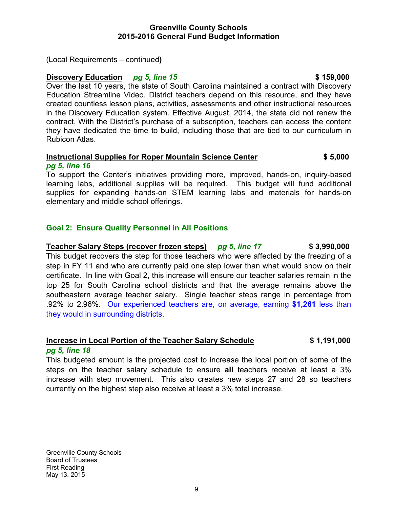(Local Requirements – continued**)** 

# **Discovery Education** *pg 5, line 15* **<b>\$159,000** \$159,000

Over the last 10 years, the state of South Carolina maintained a contract with Discovery Education Streamline Video. District teachers depend on this resource, and they have created countless lesson plans, activities, assessments and other instructional resources in the Discovery Education system. Effective August, 2014, the state did not renew the contract. With the District's purchase of a subscription, teachers can access the content they have dedicated the time to build, including those that are tied to our curriculum in Rubicon Atlas.

### **Instructional Supplies for Roper Mountain Science Center**  $\$5,000$ *pg 5, line 16*

To support the Center's initiatives providing more, improved, hands-on, inquiry-based learning labs, additional supplies will be required. This budget will fund additional supplies for expanding hands-on STEM learning labs and materials for hands-on elementary and middle school offerings.

# **Goal 2: Ensure Quality Personnel in All Positions**

**Teacher Salary Steps (recover frozen steps)** *pg 5, line 17* **\$ 3,990,000** This budget recovers the step for those teachers who were affected by the freezing of a step in FY 11 and who are currently paid one step lower than what would show on their certificate. In line with Goal 2, this increase will ensure our teacher salaries remain in the top 25 for South Carolina school districts and that the average remains above the southeastern average teacher salary. Single teacher steps range in percentage from .92% to 2.96%. Our experienced teachers are, on average, earning **\$1,261** less than they would in surrounding districts.

# **Increase in Local Portion of the Teacher Salary Schedule \$ 1,191,000** *pg 5, line 18*

This budgeted amount is the projected cost to increase the local portion of some of the steps on the teacher salary schedule to ensure **all** teachers receive at least a 3% increase with step movement. This also creates new steps 27 and 28 so teachers currently on the highest step also receive at least a 3% total increase.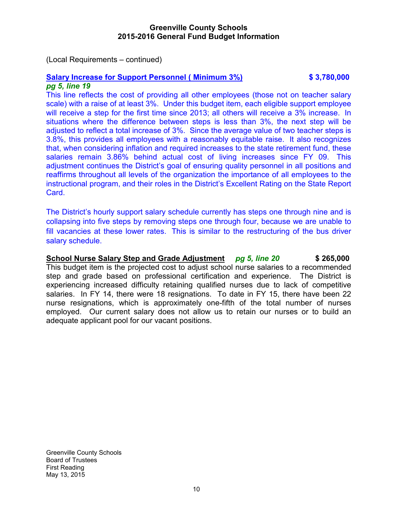(Local Requirements – continued)

### **Salary Increase for Support Personnel ( Minimum 3%) \$ 3,780,000** *pg 5, line 19*

This line reflects the cost of providing all other employees (those not on teacher salary scale) with a raise of at least 3%. Under this budget item, each eligible support employee will receive a step for the first time since 2013; all others will receive a 3% increase. In situations where the difference between steps is less than 3%, the next step will be adjusted to reflect a total increase of 3%. Since the average value of two teacher steps is 3.8%, this provides all employees with a reasonably equitable raise. It also recognizes that, when considering inflation and required increases to the state retirement fund, these salaries remain 3.86% behind actual cost of living increases since FY 09. This adjustment continues the District's goal of ensuring quality personnel in all positions and reaffirms throughout all levels of the organization the importance of all employees to the instructional program, and their roles in the District's Excellent Rating on the State Report Card.

The District's hourly support salary schedule currently has steps one through nine and is collapsing into five steps by removing steps one through four, because we are unable to fill vacancies at these lower rates. This is similar to the restructuring of the bus driver salary schedule.

**School Nurse Salary Step and Grade Adjustment** *pg 5, line 20* **\$ 265,000** This budget item is the projected cost to adjust school nurse salaries to a recommended step and grade based on professional certification and experience. The District is experiencing increased difficulty retaining qualified nurses due to lack of competitive salaries. In FY 14, there were 18 resignations. To date in FY 15, there have been 22 nurse resignations, which is approximately one-fifth of the total number of nurses employed. Our current salary does not allow us to retain our nurses or to build an adequate applicant pool for our vacant positions.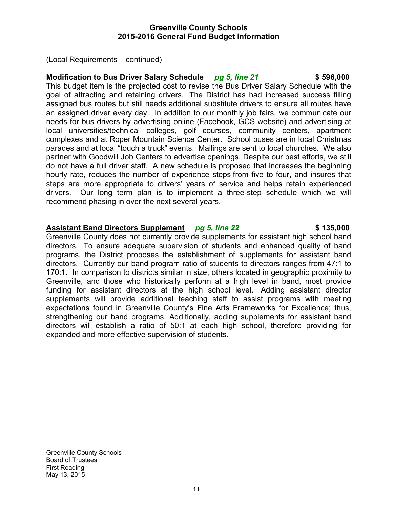(Local Requirements – continued)

# **Modification to Bus Driver Salary Schedule** *pg 5, line 21* **\$ 596,000**

This budget item is the projected cost to revise the Bus Driver Salary Schedule with the goal of attracting and retaining drivers. The District has had increased success filling assigned bus routes but still needs additional substitute drivers to ensure all routes have an assigned driver every day. In addition to our monthly job fairs, we communicate our needs for bus drivers by advertising online (Facebook, GCS website) and advertising at local universities/technical colleges, golf courses, community centers, apartment complexes and at Roper Mountain Science Center. School buses are in local Christmas parades and at local "touch a truck" events. Mailings are sent to local churches. We also partner with Goodwill Job Centers to advertise openings. Despite our best efforts, we still do not have a full driver staff. A new schedule is proposed that increases the beginning hourly rate, reduces the number of experience steps from five to four, and insures that steps are more appropriate to drivers' years of service and helps retain experienced drivers. Our long term plan is to implement a three-step schedule which we will recommend phasing in over the next several years.

# **Assistant Band Directors Supplement** *pg 5, line 22* **\$ 135,000**

Greenville County does not currently provide supplements for assistant high school band directors. To ensure adequate supervision of students and enhanced quality of band programs, the District proposes the establishment of supplements for assistant band directors. Currently our band program ratio of students to directors ranges from 47:1 to 170:1. In comparison to districts similar in size, others located in geographic proximity to Greenville, and those who historically perform at a high level in band, most provide funding for assistant directors at the high school level. Adding assistant director supplements will provide additional teaching staff to assist programs with meeting expectations found in Greenville County's Fine Arts Frameworks for Excellence; thus, strengthening our band programs. Additionally, adding supplements for assistant band directors will establish a ratio of 50:1 at each high school, therefore providing for expanded and more effective supervision of students.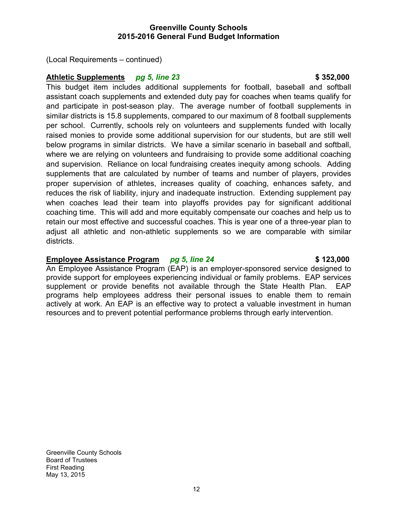(Local Requirements – continued)

# **Athletic Supplements** *pg 5, line 23* **\$ 352,000**

This budget item includes additional supplements for football, baseball and softball assistant coach supplements and extended duty pay for coaches when teams qualify for and participate in post-season play. The average number of football supplements in similar districts is 15.8 supplements, compared to our maximum of 8 football supplements per school. Currently, schools rely on volunteers and supplements funded with locally raised monies to provide some additional supervision for our students, but are still well below programs in similar districts. We have a similar scenario in baseball and softball, where we are relying on volunteers and fundraising to provide some additional coaching and supervision. Reliance on local fundraising creates inequity among schools. Adding supplements that are calculated by number of teams and number of players, provides proper supervision of athletes, increases quality of coaching, enhances safety, and reduces the risk of liability, injury and inadequate instruction. Extending supplement pay when coaches lead their team into playoffs provides pay for significant additional coaching time. This will add and more equitably compensate our coaches and help us to retain our most effective and successful coaches. This is year one of a three-year plan to adjust all athletic and non-athletic supplements so we are comparable with similar districts.

# **Employee Assistance Program** *pg 5, line 24* **\$ 123,000**

# An Employee Assistance Program (EAP) is an employer-sponsored service designed to provide support for employees experiencing individual or family problems. EAP services supplement or provide benefits not available through the State Health Plan. EAP programs help employees address their personal issues to enable them to remain actively at work. An EAP is an effective way to protect a valuable investment in human resources and to prevent potential performance problems through early intervention.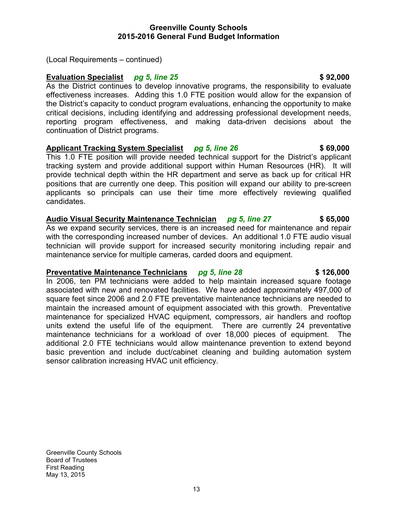(Local Requirements – continued)

# **Evaluation Specialist** *pg 5, line 25 pg 1.000* **<b>\$ 92,000**

As the District continues to develop innovative programs, the responsibility to evaluate effectiveness increases. Adding this 1.0 FTE position would allow for the expansion of the District's capacity to conduct program evaluations, enhancing the opportunity to make critical decisions, including identifying and addressing professional development needs, reporting program effectiveness, and making data-driven decisions about the continuation of District programs.

# **Applicant Tracking System Specialist** *pg 5, line 26* **\$ 69,000**

This 1.0 FTE position will provide needed technical support for the District's applicant tracking system and provide additional support within Human Resources (HR). It will provide technical depth within the HR department and serve as back up for critical HR positions that are currently one deep. This position will expand our ability to pre-screen applicants so principals can use their time more effectively reviewing qualified candidates.

# **Audio Visual Security Maintenance Technician** *pg 5, line 27* **\$ 65,000**

As we expand security services, there is an increased need for maintenance and repair with the corresponding increased number of devices. An additional 1.0 FTE audio visual technician will provide support for increased security monitoring including repair and maintenance service for multiple cameras, carded doors and equipment.

### **Preventative Maintenance Technicians** *pg 5, line 28* **\$126,000**

In 2006, ten PM technicians were added to help maintain increased square footage associated with new and renovated facilities. We have added approximately 497,000 of square feet since 2006 and 2.0 FTE preventative maintenance technicians are needed to maintain the increased amount of equipment associated with this growth. Preventative maintenance for specialized HVAC equipment, compressors, air handlers and rooftop units extend the useful life of the equipment. There are currently 24 preventative maintenance technicians for a workload of over 18,000 pieces of equipment. The additional 2.0 FTE technicians would allow maintenance prevention to extend beyond basic prevention and include duct/cabinet cleaning and building automation system sensor calibration increasing HVAC unit efficiency.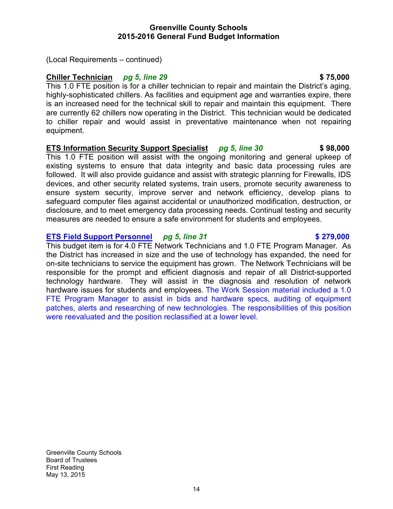(Local Requirements – continued)

# **Chiller Technician** *pg 5, line 29* **\$ 75,000**

This 1.0 FTE position is for a chiller technician to repair and maintain the District's aging, highly-sophisticated chillers. As facilities and equipment age and warranties expire, there is an increased need for the technical skill to repair and maintain this equipment. There are currently 62 chillers now operating in the District. This technician would be dedicated to chiller repair and would assist in preventative maintenance when not repairing equipment.

# **ETS Information Security Support Specialist** *pg 5, line 30* **\$ 98,000**

This 1.0 FTE position will assist with the ongoing monitoring and general upkeep of existing systems to ensure that data integrity and basic data processing rules are followed. It will also provide guidance and assist with strategic planning for Firewalls, IDS devices, and other security related systems, train users, promote security awareness to ensure system security, improve server and network efficiency, develop plans to safeguard computer files against accidental or unauthorized modification, destruction, or disclosure, and to meet emergency data processing needs. Continual testing and security measures are needed to ensure a safe environment for students and employees.

# **ETS Field Support Personnel** *pg 5, line 31* **\$279,000**

This budget item is for 4.0 FTE Network Technicians and 1.0 FTE Program Manager. As the District has increased in size and the use of technology has expanded, the need for on-site technicians to service the equipment has grown. The Network Technicians will be responsible for the prompt and efficient diagnosis and repair of all District-supported technology hardware. They will assist in the diagnosis and resolution of network hardware issues for students and employees. The Work Session material included a 1.0 FTE Program Manager to assist in bids and hardware specs, auditing of equipment patches, alerts and researching of new technologies. The responsibilities of this position were reevaluated and the position reclassified at a lower level.